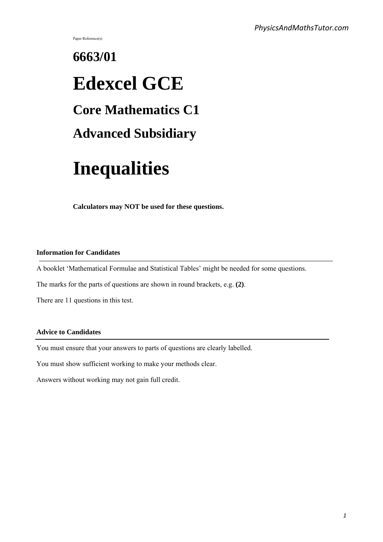Paper Reference(s)

# **6663/01 Edexcel GCE Core Mathematics C1 Advanced Subsidiary**

## **Inequalities**

**Calculators may NOT be used for these questions.**

#### **Information for Candidates**

A booklet 'Mathematical Formulae and Statistical Tables' might be needed for some questions.

The marks for the parts of questions are shown in round brackets, e.g. **(2)**.

There are 11 questions in this test.

#### **Advice to Candidates**

You must ensure that your answers to parts of questions are clearly labelled.

You must show sufficient working to make your methods clear.

Answers without working may not gain full credit.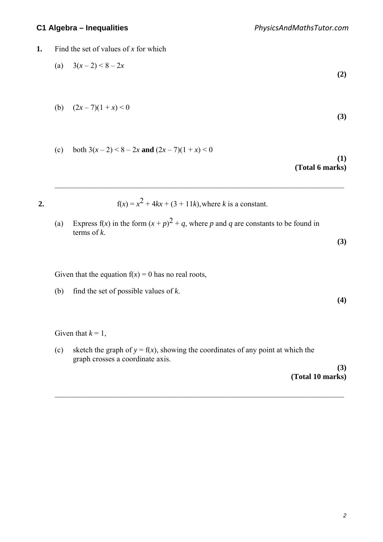#### **1.** Find the set of values of x for which

(a) 
$$
3(x-2) < 8-2x
$$
 (2)

(b) 
$$
(2x-7)(1+x) < 0
$$
 (3)

(c) both  $3(x-2) < 8-2x$  and  $(2x-7)(1+x) < 0$ 

#### **(1) (Total 6 marks)**

**(3)**

**(4)**

**2.**  $f(x) = x^2 + 4kx + (3 + 11k)$ , where *k* is a constant.

 $\mathcal{L}_\text{max} = \frac{1}{2} \sum_{i=1}^{n} \frac{1}{2} \sum_{i=1}^{n} \frac{1}{2} \sum_{i=1}^{n} \frac{1}{2} \sum_{i=1}^{n} \frac{1}{2} \sum_{i=1}^{n} \frac{1}{2} \sum_{i=1}^{n} \frac{1}{2} \sum_{i=1}^{n} \frac{1}{2} \sum_{i=1}^{n} \frac{1}{2} \sum_{i=1}^{n} \frac{1}{2} \sum_{i=1}^{n} \frac{1}{2} \sum_{i=1}^{n} \frac{1}{2} \sum_{i=1}^{n} \frac{1$ 

(a) Express f(x) in the form  $(x+p)^2 + q$ , where p and q are constants to be found in terms of *k*.

Given that the equation  $f(x) = 0$  has no real roots,

(b) find the set of possible values of *k*.

Given that  $k = 1$ ,

(c) sketch the graph of  $y = f(x)$ , showing the coordinates of any point at which the graph crosses a coordinate axis.

 $\mathcal{L}_\text{max} = \frac{1}{2} \sum_{i=1}^{n} \frac{1}{2} \sum_{i=1}^{n} \frac{1}{2} \sum_{i=1}^{n} \frac{1}{2} \sum_{i=1}^{n} \frac{1}{2} \sum_{i=1}^{n} \frac{1}{2} \sum_{i=1}^{n} \frac{1}{2} \sum_{i=1}^{n} \frac{1}{2} \sum_{i=1}^{n} \frac{1}{2} \sum_{i=1}^{n} \frac{1}{2} \sum_{i=1}^{n} \frac{1}{2} \sum_{i=1}^{n} \frac{1}{2} \sum_{i=1}^{n} \frac{1$ 

**(3) (Total 10 marks)**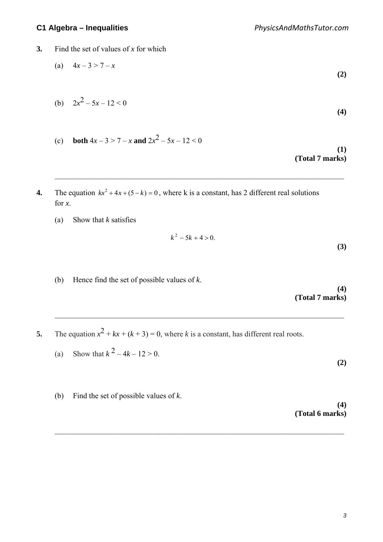- **3.** Find the set of values of x for which
	- (a)  $4x-3 > 7-x$ **(2)**
	- (b)  $2x^2 5x 12 < 0$ **(4)**
	- (c) **both**  $4x 3 > 7 x$  and  $2x^2 5x 12 < 0$

**(1) (Total 7 marks)**

4. The equation  $kx^2 + 4x + (5-k) = 0$ , where k is a constant, has 2 different real solutions for *x*.

 $\mathcal{L}_\text{max} = \frac{1}{2} \sum_{i=1}^{n} \frac{1}{2} \sum_{i=1}^{n} \frac{1}{2} \sum_{i=1}^{n} \frac{1}{2} \sum_{i=1}^{n} \frac{1}{2} \sum_{i=1}^{n} \frac{1}{2} \sum_{i=1}^{n} \frac{1}{2} \sum_{i=1}^{n} \frac{1}{2} \sum_{i=1}^{n} \frac{1}{2} \sum_{i=1}^{n} \frac{1}{2} \sum_{i=1}^{n} \frac{1}{2} \sum_{i=1}^{n} \frac{1}{2} \sum_{i=1}^{n} \frac{1$ 

(a) Show that *k* satisfies

$$
k^2 - 5k + 4 > 0.
$$

(b) Hence find the set of possible values of *k*.

**(4) (Total 7 marks)**

**(3)** 

**(2)** 

**5.** The equation  $x^2 + kx + (k+3) = 0$ , where *k* is a constant, has different real roots.

 $\mathcal{L}_\text{max} = \frac{1}{2} \sum_{i=1}^{n} \frac{1}{2} \sum_{i=1}^{n} \frac{1}{2} \sum_{i=1}^{n} \frac{1}{2} \sum_{i=1}^{n} \frac{1}{2} \sum_{i=1}^{n} \frac{1}{2} \sum_{i=1}^{n} \frac{1}{2} \sum_{i=1}^{n} \frac{1}{2} \sum_{i=1}^{n} \frac{1}{2} \sum_{i=1}^{n} \frac{1}{2} \sum_{i=1}^{n} \frac{1}{2} \sum_{i=1}^{n} \frac{1}{2} \sum_{i=1}^{n} \frac{1$ 

 $\mathcal{L}_\text{max} = \frac{1}{2} \sum_{i=1}^{n} \frac{1}{2} \sum_{i=1}^{n} \frac{1}{2} \sum_{i=1}^{n} \frac{1}{2} \sum_{i=1}^{n} \frac{1}{2} \sum_{i=1}^{n} \frac{1}{2} \sum_{i=1}^{n} \frac{1}{2} \sum_{i=1}^{n} \frac{1}{2} \sum_{i=1}^{n} \frac{1}{2} \sum_{i=1}^{n} \frac{1}{2} \sum_{i=1}^{n} \frac{1}{2} \sum_{i=1}^{n} \frac{1}{2} \sum_{i=1}^{n} \frac{1$ 

- (a) Show that  $k^2 4k 12 > 0$ .
- (b) Find the set of possible values of *k*.

**(4) (Total 6 marks)**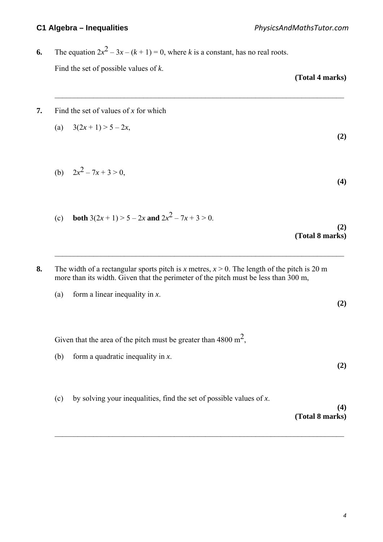### **6.** The equation  $2x^2 - 3x - (k+1) = 0$ , where *k* is a constant, has no real roots. Find the set of possible values of *k*.

**(Total 4 marks)**

**(2)** 

**(2)** 

**(2)** 

#### **7.** Find the set of values of *x* for which

(a) 
$$
3(2x+1) > 5-2x
$$
,

 $\mathcal{L}_\text{max} = \frac{1}{2} \sum_{i=1}^{n} \frac{1}{2} \sum_{i=1}^{n} \frac{1}{2} \sum_{i=1}^{n} \frac{1}{2} \sum_{i=1}^{n} \frac{1}{2} \sum_{i=1}^{n} \frac{1}{2} \sum_{i=1}^{n} \frac{1}{2} \sum_{i=1}^{n} \frac{1}{2} \sum_{i=1}^{n} \frac{1}{2} \sum_{i=1}^{n} \frac{1}{2} \sum_{i=1}^{n} \frac{1}{2} \sum_{i=1}^{n} \frac{1}{2} \sum_{i=1}^{n} \frac{1$ 

(b)  $2x^2 - 7x + 3 > 0$ , **(4)** 

(c) **both** 
$$
3(2x + 1) > 5 - 2x
$$
 and  $2x^2 - 7x + 3 > 0$ .

#### **(2) (Total 8 marks)**

**8.** The width of a rectangular sports pitch is *x* metres,  $x > 0$ . The length of the pitch is 20 m more than its width. Given that the perimeter of the pitch must be less than 300 m,

 $\mathcal{L}_\text{max} = \frac{1}{2} \sum_{i=1}^{n} \frac{1}{2} \sum_{i=1}^{n} \frac{1}{2} \sum_{i=1}^{n} \frac{1}{2} \sum_{i=1}^{n} \frac{1}{2} \sum_{i=1}^{n} \frac{1}{2} \sum_{i=1}^{n} \frac{1}{2} \sum_{i=1}^{n} \frac{1}{2} \sum_{i=1}^{n} \frac{1}{2} \sum_{i=1}^{n} \frac{1}{2} \sum_{i=1}^{n} \frac{1}{2} \sum_{i=1}^{n} \frac{1}{2} \sum_{i=1}^{n} \frac{1$ 

(a) form a linear inequality in *x*.

Given that the area of the pitch must be greater than 4800  $m^2$ ,

- (b) form a quadratic inequality in *x*.
- (c) by solving your inequalities, find the set of possible values of *x*.

 $\mathcal{L}_\text{max} = \frac{1}{2} \sum_{i=1}^{n} \frac{1}{2} \sum_{i=1}^{n} \frac{1}{2} \sum_{i=1}^{n} \frac{1}{2} \sum_{i=1}^{n} \frac{1}{2} \sum_{i=1}^{n} \frac{1}{2} \sum_{i=1}^{n} \frac{1}{2} \sum_{i=1}^{n} \frac{1}{2} \sum_{i=1}^{n} \frac{1}{2} \sum_{i=1}^{n} \frac{1}{2} \sum_{i=1}^{n} \frac{1}{2} \sum_{i=1}^{n} \frac{1}{2} \sum_{i=1}^{n} \frac{1$ 

#### **(4) (Total 8 marks)**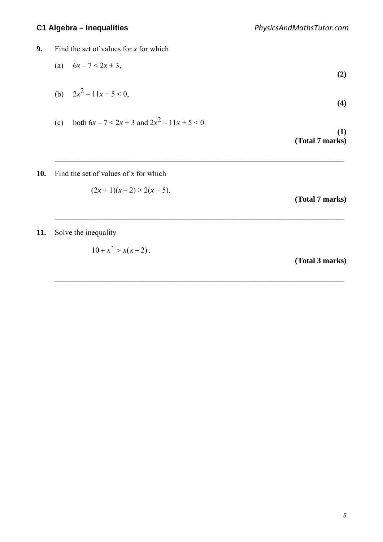- **9.** Find the set of values for *x* for which
	- (a)  $6x 7 < 2x + 3$ , **(2)**
	- (b)  $2x^2 11x + 5 < 0$ , **(4)**

 $\mathcal{L}_\text{max} = \frac{1}{2} \sum_{i=1}^{n} \frac{1}{2} \sum_{i=1}^{n} \frac{1}{2} \sum_{i=1}^{n} \frac{1}{2} \sum_{i=1}^{n} \frac{1}{2} \sum_{i=1}^{n} \frac{1}{2} \sum_{i=1}^{n} \frac{1}{2} \sum_{i=1}^{n} \frac{1}{2} \sum_{i=1}^{n} \frac{1}{2} \sum_{i=1}^{n} \frac{1}{2} \sum_{i=1}^{n} \frac{1}{2} \sum_{i=1}^{n} \frac{1}{2} \sum_{i=1}^{n} \frac{1$ 

 $\mathcal{L}_\text{max} = \frac{1}{2} \sum_{i=1}^{n} \frac{1}{2} \sum_{i=1}^{n} \frac{1}{2} \sum_{i=1}^{n} \frac{1}{2} \sum_{i=1}^{n} \frac{1}{2} \sum_{i=1}^{n} \frac{1}{2} \sum_{i=1}^{n} \frac{1}{2} \sum_{i=1}^{n} \frac{1}{2} \sum_{i=1}^{n} \frac{1}{2} \sum_{i=1}^{n} \frac{1}{2} \sum_{i=1}^{n} \frac{1}{2} \sum_{i=1}^{n} \frac{1}{2} \sum_{i=1}^{n} \frac{1$ 

 $\mathcal{L}_\text{max} = \frac{1}{2} \sum_{i=1}^{n} \frac{1}{2} \sum_{i=1}^{n} \frac{1}{2} \sum_{i=1}^{n} \frac{1}{2} \sum_{i=1}^{n} \frac{1}{2} \sum_{i=1}^{n} \frac{1}{2} \sum_{i=1}^{n} \frac{1}{2} \sum_{i=1}^{n} \frac{1}{2} \sum_{i=1}^{n} \frac{1}{2} \sum_{i=1}^{n} \frac{1}{2} \sum_{i=1}^{n} \frac{1}{2} \sum_{i=1}^{n} \frac{1}{2} \sum_{i=1}^{n} \frac{1$ 

(c) both  $6x - 7 < 2x + 3$  and  $2x^2 - 11x + 5 < 0$ .

**(1) (Total 7 marks)**

#### **10.** Find the set of values of *x* for which

$$
(2x+1)(x-2) > 2(x+5).
$$

**(Total 7 marks)**

**11.** Solve the inequality

 $10 + x^2 > x(x - 2)$ .

**(Total 3 marks)**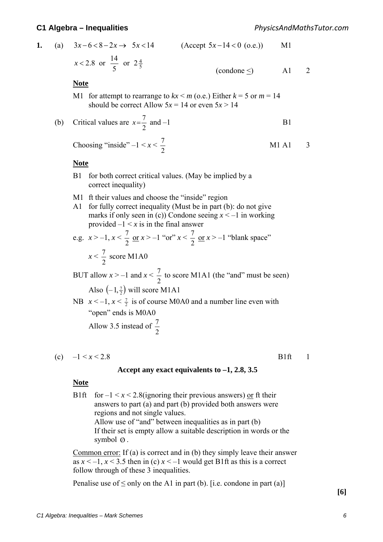| 1. |     | (a) $3x-6 < 8-2x \rightarrow 5x < 14$                                                                                              | $(Accept 5x-14<0$ (o.e.))                                                                                                                                                                                                                                       | M <sub>1</sub>                |              |
|----|-----|------------------------------------------------------------------------------------------------------------------------------------|-----------------------------------------------------------------------------------------------------------------------------------------------------------------------------------------------------------------------------------------------------------------|-------------------------------|--------------|
|    |     | $x < 2.8$ or $\frac{14}{5}$ or $2\frac{4}{5}$                                                                                      | (condone $\leq$ )                                                                                                                                                                                                                                               | A <sub>1</sub>                | 2            |
|    |     | <b>Note</b>                                                                                                                        |                                                                                                                                                                                                                                                                 |                               |              |
|    |     | M1 for attempt to rearrange to $kx \le m$ (o.e.) Either $k = 5$ or $m = 14$<br>should be correct Allow $5x = 14$ or even $5x > 14$ |                                                                                                                                                                                                                                                                 |                               |              |
|    | (b) | Critical values are $x = \frac{7}{2}$ and -1                                                                                       |                                                                                                                                                                                                                                                                 | B <sub>1</sub>                |              |
|    |     | Choosing "inside" $-1 < x < \frac{7}{2}$                                                                                           |                                                                                                                                                                                                                                                                 | M <sub>1</sub> A <sub>1</sub> | 3            |
|    |     | <b>Note</b>                                                                                                                        |                                                                                                                                                                                                                                                                 |                               |              |
|    |     | for both correct critical values. (May be implied by a<br>B <sub>1</sub><br>correct inequality)                                    |                                                                                                                                                                                                                                                                 |                               |              |
|    |     | ft their values and choose the "inside" region<br>M1<br>A1<br>provided $-1 \le x$ is in the final answer                           | for fully correct inequality (Must be in part (b): do not give<br>marks if only seen in (c)) Condone seeing $x < -1$ in working                                                                                                                                 |                               |              |
|    |     | e.g. $x > -1$ , $x < \frac{7}{2}$ or $x > -1$ "or" $x < \frac{7}{2}$ or $x > -1$ "blank space"                                     |                                                                                                                                                                                                                                                                 |                               |              |
|    |     | $x < \frac{7}{2}$ score M1A0                                                                                                       |                                                                                                                                                                                                                                                                 |                               |              |
|    |     | BUT allow $x > -1$ and $x < \frac{7}{2}$ to score M1A1 (the "and" must be seen)                                                    |                                                                                                                                                                                                                                                                 |                               |              |
|    |     | Also $\left(-1, \frac{7}{2}\right)$ will score M1A1                                                                                |                                                                                                                                                                                                                                                                 |                               |              |
|    |     | NB $x < -1$ , $x < \frac{7}{2}$ is of course M0A0 and a number line even with<br>"open" ends is M0A0                               |                                                                                                                                                                                                                                                                 |                               |              |
|    |     | Allow 3.5 instead of $\frac{7}{2}$                                                                                                 |                                                                                                                                                                                                                                                                 |                               |              |
|    |     | (c) $-1 \le x \le 2.8$                                                                                                             |                                                                                                                                                                                                                                                                 | B <sub>1</sub> ft             | $\mathbf{I}$ |
|    |     |                                                                                                                                    | Accept any exact equivalents to $-1$ , 2.8, 3.5                                                                                                                                                                                                                 |                               |              |
|    |     | <b>Note</b>                                                                                                                        |                                                                                                                                                                                                                                                                 |                               |              |
|    |     | B <sub>1</sub> ft<br>regions and not single values.<br>symbol $\emptyset$ .                                                        | for $-1 < x < 2.8$ (ignoring their previous answers) or ft their<br>answers to part (a) and part (b) provided both answers were<br>Allow use of "and" between inequalities as in part (b)<br>If their set is empty allow a suitable description in words or the |                               |              |

Common error: If (a) is correct and in (b) they simply leave their answer as  $x < -1$ ,  $x < 3.5$  then in (c)  $x < -1$  would get B1ft as this is a correct follow through of these 3 inequalities.

Penalise use of  $\leq$  only on the A1 in part (b). [i.e. condone in part (a)]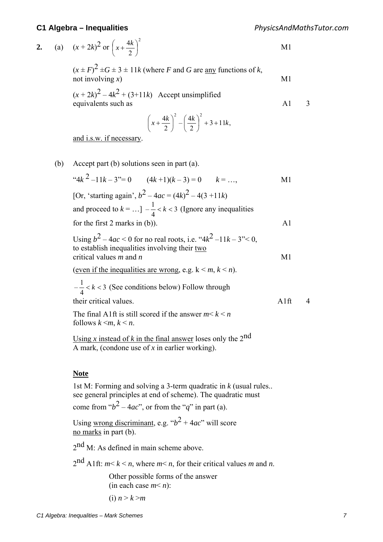|  |  | 2. (a) $(x+2k)^2$ or $\left(x+\frac{4k}{2}\right)^2$ |  |
|--|--|------------------------------------------------------|--|
|--|--|------------------------------------------------------|--|

$$
(x \pm F)^2 \pm G \pm 3 \pm 11k
$$
 (where *F* and *G* are any functions of *k*,  
not involving *x*) M1

 $(x+2k)^{2} - 4k^{2} + (3+11k)$  Accept unsimplified equivalents such as A1 3

$$
\left(x + \frac{4k}{2}\right)^2 - \left(\frac{4k}{2}\right)^2 + 3 + 11k,
$$

and i.s.w. if necessary.

(b) Accept part (b) solutions seen in part (a).  $``4k^2 -11k - 3" = 0$   $(4k+1)(k-3) = 0$   $k = ...$ , M1 [Or, 'starting again',  $b^2 - 4ac = (4k)^2 - 4(3 + 11k)$ and proceed to  $k = ...$ ]  $-\frac{1}{4} < k < 3$ 4  $-\frac{1}{4} < k < 3$  (Ignore any inequalities for the first 2 marks in  $(b)$ ). A 1 Using  $b^2 - 4ac < 0$  for no real roots, i.e. " $4k^2 - 11k - 3$ " < 0, to establish inequalities involving their two critical values  $m$  and  $n$  M1 (even if the inequalities are wrong, e.g.  $k \le m, k \le n$ ). 3 4  $-\frac{1}{\epsilon}$  < k < 3 (See conditions below) Follow through their critical values and a set of the set of the set of the set of the set of the set of the set of the set of the set of the set of the set of the set of the set of the set of the set of the set of the set of the set of The final A1ft is still scored if the answer  $m \leq k \leq n$ follows  $k \leq m, k \leq n$ . Using *x* instead of *k* in the final answer loses only the  $2^{nd}$ A mark, (condone use of *x* in earlier working).

#### **Note**

 1st M: Forming and solving a 3-term quadratic in *k* (usual rules.. see general principles at end of scheme). The quadratic must

come from " $b^2 - 4ac$ ", or from the "*q*" in part (a).

Using wrong discriminant, e.g. " $b^2 + 4ac$ " will score no marks in part (b).

 $2<sup>nd</sup>$  M: As defined in main scheme above.

 $2^{nd}$  A1ft:  $m \le k \le n$ , where  $m \le n$ , for their critical values m and n.

 Other possible forms of the answer (in each case  $m < n$ ):

<sup>(</sup>i)  $n > k > m$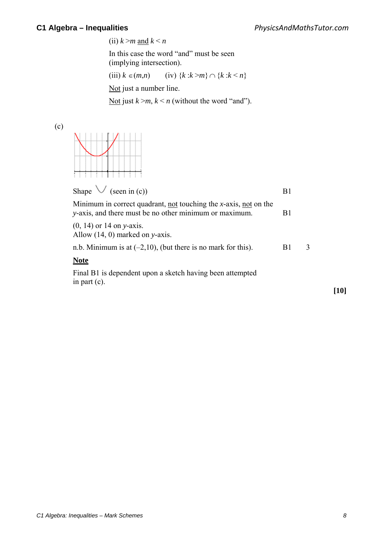(ii)  $k > m$  and  $k < n$ 

 In this case the word "and" must be seen (implying intersection).

(iii)  $k \in (m,n)$  (iv)  $\{k : k > m\} \cap \{k : k \le n\}$ 

Not just a number line.

Not just  $k > m$ ,  $k < n$  (without the word "and").

(c)



| Shape $\vee$ (seen in (c))                                                                                                                |    |   |
|-------------------------------------------------------------------------------------------------------------------------------------------|----|---|
| Minimum in correct quadrant, <u>not</u> touching the <i>x</i> -axis, not on the<br>y-axis, and there must be no other minimum or maximum. | B1 |   |
| $(0, 14)$ or 14 on y-axis.<br>Allow $(14, 0)$ marked on y-axis.                                                                           |    |   |
| n.b. Minimum is at $(-2,10)$ , (but there is no mark for this).                                                                           | B1 | 3 |
| <b>Note</b>                                                                                                                               |    |   |
| Final B1 is dependent upon a sketch having been attempted<br>in part $(c)$ .                                                              |    |   |

**[10]**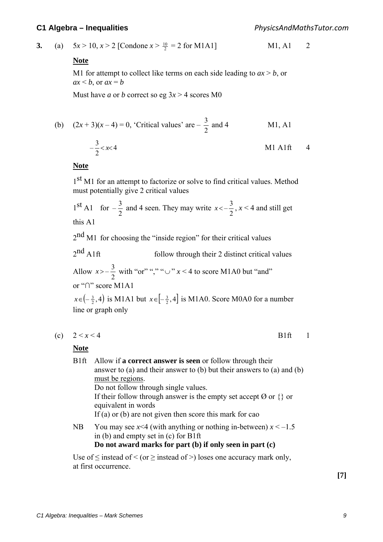**3.** (a)  $5x > 10, x > 2$  [Condone  $x > \frac{10}{2} = 2$  for M1A1] M1, A1 2

#### **Note**

M1 for attempt to collect like terms on each side leading to  $ax > b$ , or  $ax < b$ , or  $ax = b$ 

Must have *a* or *b* correct so eg  $3x > 4$  scores M0

(b) 
$$
(2x+3)(x-4) = 0
$$
, 'Critical values' are  $-\frac{3}{2}$  and 4 M1, A1

 4 2 <sup>3</sup> – *<sup>x</sup>*<< M1 A1ft 4

#### **Note**

1<sup>st</sup> M1 for an attempt to factorize or solve to find critical values. Method must potentially give 2 critical values

 $1<sup>st</sup>$  A1 for  $-\frac{3}{2}$  and 4 seen. They may write  $x < -\frac{3}{2}$ ,  $x < 4$  and still get this A1

 $2<sup>nd</sup>$  M1 for choosing the "inside region" for their critical values

 $2<sup>nd</sup>$  A1ft follow through their 2 distinct critical values Allow 2  $x > -\frac{3}{2}$  with "or" "," " $\cup$ "  $x < 4$  to score M1A0 but "and"

or "∩" score M1A1

 $x \in (-\frac{3}{2}, 4)$  is M1A1 but  $x \in [-\frac{3}{2}, 4]$  is M1A0. Score M0A0 for a number line or graph only

(c)  $2 \le x \le 4$  B1ft 1

#### **Note**

B1ft Allow if **a correct answer is seen** or follow through their answer to (a) and their answer to (b) but their answers to (a) and (b) must be regions. Do not follow through single values. If their follow through answer is the empty set accept  $\emptyset$  or  $\{\}\$  or equivalent in words If (a) or (b) are not given then score this mark for cao NB You may see  $x \le 4$  (with anything or nothing in-between)  $x \le -1.5$  in (b) and empty set in (c) for B1ft **Do not award marks for part (b) if only seen in part (c)**

Use of  $\leq$  instead of  $\leq$  (or  $\geq$  instead of  $\geq$  ) loses one accuracy mark only, at first occurrence.

**[7]**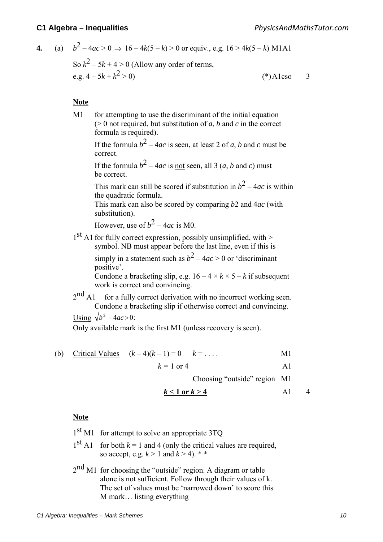4. (a) 
$$
b^2 - 4ac > 0 \Rightarrow 16 - 4k(5 - k) > 0
$$
 or equiv., e.g.  $16 > 4k(5 - k)$  M1A1  
So  $k^2 - 5k + 4 > 0$  (Allow any order of terms,  
e.g.  $4 - 5k + k^2 > 0$ )  
(\*) Also 3

#### **Note**

M1 for attempting to use the discriminant of the initial equation  $(0, 0)$  not required, but substitution of *a*, *b* and *c* in the correct formula is required). If the formula  $b^2 - 4ac$  is seen, at least 2 of *a*, *b* and *c* must be correct. If the formula  $b^2 - 4ac$  is not seen, all 3 (*a, b* and *c*) must be correct. This mark can still be scored if substitution in  $b^2 - 4ac$  is within the quadratic formula. This mark can also be scored by comparing *b*2 and 4*ac* (with substitution). However, use of  $b^2 + 4ac$  is M0.

 1st A1 for fully correct expression, possibly unsimplified, with > symbol. NB must appear before the last line, even if this is

> simply in a statement such as  $b^2 - 4ac > 0$  or 'discriminant' positive'.

Condone a bracketing slip, e.g.  $16 - 4 \times k \times 5 - k$  if subsequent work is correct and convincing.

 $2<sup>nd</sup>$  A1 for a fully correct derivation with no incorrect working seen. Condone a bracketing slip if otherwise correct and convincing.

Using  $\sqrt{h^2-4ac} > 0$ 

Only available mark is the first M1 (unless recovery is seen).

(b) Critical Values  $(k-4)(k-1) = 0$   $k = ...$  . M1

 $k = 1 \text{ or } 4$  A1

Choosing "outside" region M1

$$
k < 1 \text{ or } k > 4 \tag{A1}
$$

#### **Note**

- $1<sup>st</sup>$  M1 for attempt to solve an appropriate 3TQ
- $1<sup>st</sup>$  A1 for both  $k = 1$  and 4 (only the critical values are required, so accept, e.g.  $k > 1$  and  $k > 4$ ). \* \*
- 2nd M1 for choosing the "outside" region. A diagram or table alone is not sufficient. Follow through their values of k. The set of values must be 'narrowed down' to score this M mark… listing everything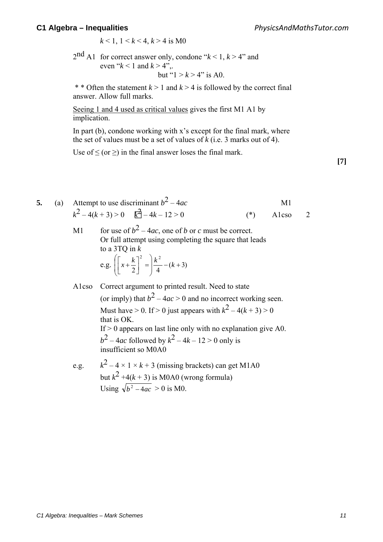*PhysicsAndMathsTutor.com*

 $k < 1, 1 < k < 4, k > 4$  is M0

 $2<sup>nd</sup>$  A1 for correct answer only, condone " $k < 1, k > 4$ " and even " $k < 1$  and  $k > 4$ ". but " $1 > k > 4$ " is A0.

\* \* Often the statement  $k > 1$  and  $k > 4$  is followed by the correct final answer. Allow full marks.

Seeing 1 and 4 used as critical values gives the first M1 A1 by implication.

In part (b), condone working with x's except for the final mark, where the set of values must be a set of values of *k* (i.e. 3 marks out of 4).

Use of  $\leq$  (or  $\geq$ ) in the final answer loses the final mark.

**[7]**

**5.** (a) Attempt to use discriminant  $b^2 - 4ac$  M1  $k^2 - 4(k+3) > 0$   $\vec{k} - 4k - 12 > 0$  (\*) A1cso 2 M1 for use of  $b^2 - 4ac$ , one of *b* or *c* must be correct. Or full attempt using completing the square that leads to a 3TQ in *k* e.g.  $\left[ x + \frac{k}{2} \right] = \frac{k}{4} - (k+3)$ <sup>2</sup>  $\left| \right|_L^2$  $\frac{k}{4}$  – (k + J  $\backslash$  $\mathsf{I}$  $\overline{\phantom{a}}$  $\setminus$  $\left[\left[x+\frac{k}{2}\right]^2\right]$  $\left(x + \frac{k}{2}\right)^2 = \frac{k^2}{k^2} - (k^2)$ 

- A1cso Correct argument to printed result. Need to state (or imply) that  $b^2 - 4ac > 0$  and no incorrect working seen. Must have  $> 0$ . If  $> 0$  just appears with  $k^2 - 4(k+3) > 0$ that is OK. If  $> 0$  appears on last line only with no explanation give A0. *b*<sup>2</sup> – 4*ac* followed by  $k^2 - 4k - 12 > 0$  only is insufficient so M0A0
- e.g.  $k^2 4 \times 1 \times k + 3$  (missing brackets) can get M1A0 but  $k^2 + 4(k + 3)$  is M0A0 (wrong formula) Using  $\sqrt{b^2 - 4ac} > 0$  is M0.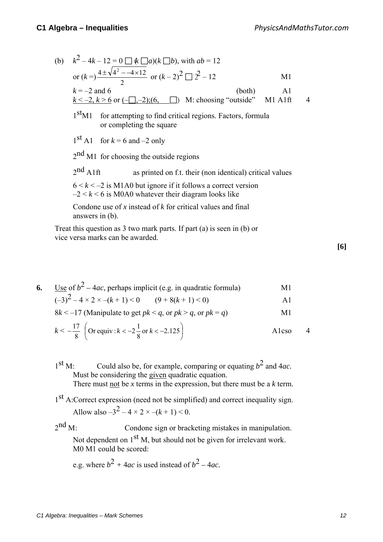- (b)  $k^2 4k 12 = 0 \prod k \prod a(k \prod b)$ , with  $ab = 12$ or  $(k = )\frac{12}{2}$  $\frac{4\pm\sqrt{4^2 - -4 \times 12}}{2}$  or  $(k-2)^2 \square 2^2 - 12$  M1  $k = -2$  and 6 (both) A1  $k \le -2, k \ge 6$  or  $(-\Box, -2)$ ;(6,  $\Box$ ) M: choosing "outside" M1 A1ft 4 1<sup>st</sup>M1 for attempting to find critical regions. Factors, formula or completing the square  $1<sup>st</sup>$  A1 for  $k = 6$  and  $-2$  only 2<sup>nd</sup> M1 for choosing the outside regions  $2<sup>nd</sup>$  A1ft as printed on f.t. their (non identical) critical values  $6 < k < -2$  is M1A0 but ignore if it follows a correct version  $-2 < k < 6$  is M0A0 whatever their diagram looks like Condone use of *x* instead of *k* for critical values and final answers in (b). Treat this question as 3 two mark parts. If part (a) is seen in (b) or
- vice versa marks can be awarded.
- **6.** Use of  $b^2 4ac$ , perhaps implicit (e.g. in quadratic formula) M1  $(-3)^2 - 4 \times 2 \times -(k+1) < 0$   $(9+8(k+1) < 0)$  A1  $8k \le -17$  (Manipulate to get  $pk \le a$ , or  $pk \ge a$ , or  $pk = a$ ) M1

$$
17 \t(12) \t(12) \t(12)
$$

$$
k < -\frac{17}{8}
$$
 (Or equiv:  $k < -2\frac{1}{8}$  or  $k < -2.125$ ) A1cso 4

- $1<sup>st</sup>$  M: Could also be, for example, comparing or equating  $b<sup>2</sup>$  and 4*ac*. Must be considering the given quadratic equation. There must not be *x* terms in the expression, but there must be a *k* term.
- 1<sup>st</sup> A:Correct expression (need not be simplified) and correct inequality sign. Allow also  $-3^2 - 4 \times 2 \times -(k+1) \le 0$ .

 $2<sup>nd</sup>$  M: Condone sign or bracketing mistakes in manipulation. Not dependent on 1<sup>st</sup> M, but should not be given for irrelevant work. M0 M1 could be scored:

e.g. where  $b^2 + 4ac$  is used instead of  $b^2 - 4ac$ .

**[6]**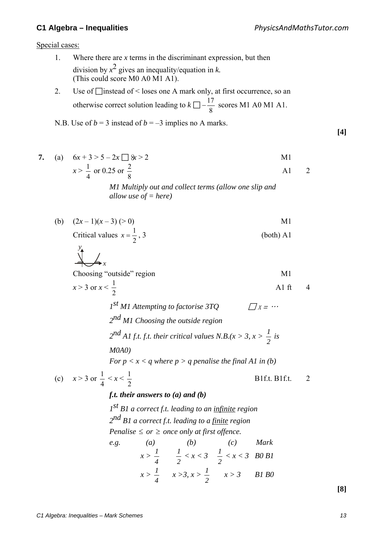$\frac{y}{\sqrt{1}}$  /

**[4]** 

Special cases:

- 1. Where there are *x* terms in the discriminant expression, but then division by  $x^2$  gives an inequality/equation in *k*. (This could score M0 A0 M1 A1).
- 2. Use of  $\Box$  instead of < loses one A mark only, at first occurrence, so an otherwise correct solution leading to  $k \square - \frac{17}{8}$  scores M1 A0 M1 A1.

N.B. Use of  $b = 3$  instead of  $b = -3$  implies no A marks.

7. (a) 
$$
6x + 3 > 5 - 2x \square
$$
 &  $8x > 2$   
\n $x > \frac{1}{4}$  or 0.25 or  $\frac{2}{8}$   
\nM1 Multiply out and collect terms (allow one slip and

*M1 Multiply out and collect terms (allow one slip and allow use of = here)* 

(b) 
$$
(2x-1)(x-3) (> 0)
$$
   
Critical values  $x = \frac{1}{2}, 3$  (both) A1

$$
x
$$
  
Choosing "outside" region  
 $x > 3$  or  $x < \frac{1}{2}$   
 $I^{st} M1$  *Attempting to factorise 3TQ*  $\square$  X = ...

*2nd M1 Choosing the outside region*   $2^{nd}$  *A1 f.t. f.t. their critical values N.B.(x > 3, x >*  $\frac{1}{2}$  *is M0A0)* 

*For*  $p \le x \le q$  *where*  $p > q$  *penalise the final A1 in (b)* 

(c) 
$$
x > 3
$$
 or  $\frac{1}{4} < x < \frac{1}{2}$  B1f.t. B1f.t. 2

*f.t. their answers to (a) and (b)*

*1st B1 a correct f.t. leading to an infinite region 2nd B1 a correct f.t. leading to a finite region Penalise* ≤ *or* ≥ *once only at first offence. e.g. (a) (b) (c) Mark* 

$$
x > \frac{1}{4} \qquad \frac{1}{2} < x < 3 \qquad \frac{1}{2} < x < 3 \quad BO \, BI
$$

$$
x > \frac{1}{4} \qquad x > 3, x > \frac{1}{2} \qquad x > 3 \qquad BI \, BO
$$

**[8]**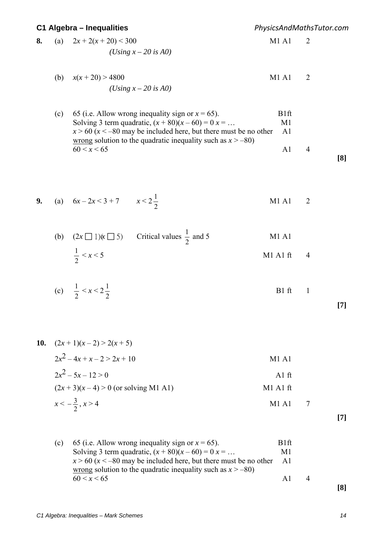*PhysicsAndMathsTutor.com*

8. (a) 
$$
2x + 2(x + 20) < 300
$$
  
\n(*Using x* – 20 is A0)  
\nM1 A1 2

(b) 
$$
x(x+20) > 4800
$$
  
\n(*Using x* – 20 is A0)  
\n(M1 A1 2)

| (c) 65 (i.e. Allow wrong inequality sign or $x = 65$ ).               | B1ft |                |  |
|-----------------------------------------------------------------------|------|----------------|--|
| Solving 3 term quadratic, $(x + 80)(x - 60) = 0$ $x = $               | M1   |                |  |
| $x > 60$ ( $x < -80$ may be included here, but there must be no other | A1   |                |  |
| wrong solution to the quadratic inequality such as $x > -80$ )        |      |                |  |
| 60 < x < 65                                                           | AI   | $\overline{4}$ |  |
|                                                                       |      |                |  |

**9.** (a)  $6x - 2x < 3 + 7$   $x < 2$ 2 M1 A1 2

|                       | (b) $(2x \square 1)(x \square 5)$ Critical values $\frac{1}{2}$ and 5 | M1 A1        |  |
|-----------------------|-----------------------------------------------------------------------|--------------|--|
| $\frac{1}{2}$ < x < 5 |                                                                       | $M1$ A1 ft 4 |  |

(c) 
$$
\frac{1}{2} < x < 2\frac{1}{2}
$$
 B1 ft 1

**[7]** 

| 10. $(2x+1)(x-2) > 2(x+5)$           |                     |  |
|--------------------------------------|---------------------|--|
| $2x^2-4x+x-2>2x+10$                  | M1A1                |  |
| $2x^2 - 5x - 12 > 0$                 | A <sub>1</sub> $ft$ |  |
| $(2x+3)(x-4) > 0$ (or solving M1 A1) | M1 A1 ft            |  |
| $x < -\frac{3}{2}, x > 4$            | $M1$ A <sub>1</sub> |  |

**[7]** 

| (c) 65 (i.e. Allow wrong inequality sign or $x = 65$ ).               | B1ft |                |  |
|-----------------------------------------------------------------------|------|----------------|--|
| Solving 3 term quadratic, $(x + 80)(x - 60) = 0$ $x = $               | M1   |                |  |
| $x > 60$ ( $x < -80$ may be included here, but there must be no other | A1   |                |  |
| wrong solution to the quadratic inequality such as $x > -80$ )        |      |                |  |
| 60 < x < 65                                                           | AI   | $\overline{4}$ |  |
|                                                                       |      |                |  |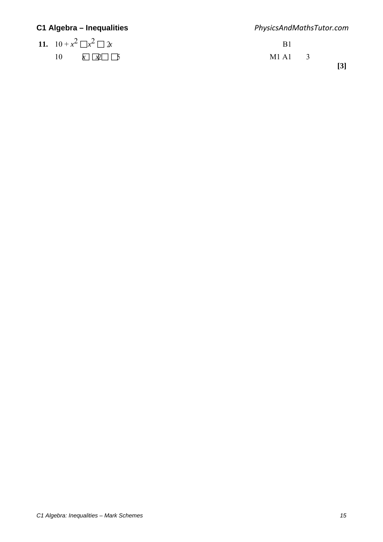| C1 Algebra – Inequalities      | PhysicsAndMathsTutor.com |  |                   |  |
|--------------------------------|--------------------------|--|-------------------|--|
| 11. $10 + x^2 \Box x^2 \Box x$ | B1                       |  |                   |  |
| 10<br>$x \mid x$ $\mid$ 5      | $M1 \, A1 \quad 3$       |  | $\lceil 3 \rceil$ |  |
|                                |                          |  |                   |  |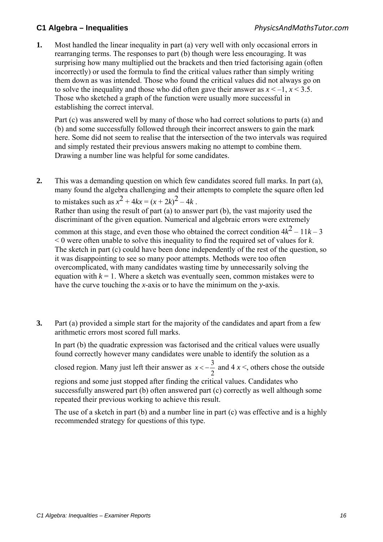**1.** Most handled the linear inequality in part (a) very well with only occasional errors in rearranging terms. The responses to part (b) though were less encouraging. It was surprising how many multiplied out the brackets and then tried factorising again (often incorrectly) or used the formula to find the critical values rather than simply writing them down as was intended. Those who found the critical values did not always go on to solve the inequality and those who did often gave their answer as  $x < -1$ ,  $x < 3.5$ . Those who sketched a graph of the function were usually more successful in establishing the correct interval.

 Part (c) was answered well by many of those who had correct solutions to parts (a) and (b) and some successfully followed through their incorrect answers to gain the mark here. Some did not seem to realise that the intersection of the two intervals was required and simply restated their previous answers making no attempt to combine them. Drawing a number line was helpful for some candidates.

**2.** This was a demanding question on which few candidates scored full marks. In part (a), many found the algebra challenging and their attempts to complete the square often led to mistakes such as  $x^2 + 4kx = (x + 2k)^2 - 4k$ .

Rather than using the result of part (a) to answer part (b), the vast majority used the discriminant of the given equation. Numerical and algebraic errors were extremely

common at this stage, and even those who obtained the correct condition  $4k^2 - 11k - 3$ < 0 were often unable to solve this inequality to find the required set of values for *k*. The sketch in part (c) could have been done independently of the rest of the question, so it was disappointing to see so many poor attempts. Methods were too often overcomplicated, with many candidates wasting time by unnecessarily solving the equation with  $k = 1$ . Where a sketch was eventually seen, common mistakes were to have the curve touching the *x*-axis or to have the minimum on the *y*-axis.

**3.** Part (a) provided a simple start for the majority of the candidates and apart from a few arithmetic errors most scored full marks.

In part (b) the quadratic expression was factorised and the critical values were usually found correctly however many candidates were unable to identify the solution as a

closed region. Many just left their answer as  $x < -\frac{3}{2}$  and  $4x <$ , others chose the outside

regions and some just stopped after finding the critical values. Candidates who successfully answered part (b) often answered part (c) correctly as well although some repeated their previous working to achieve this result.

The use of a sketch in part (b) and a number line in part (c) was effective and is a highly recommended strategy for questions of this type.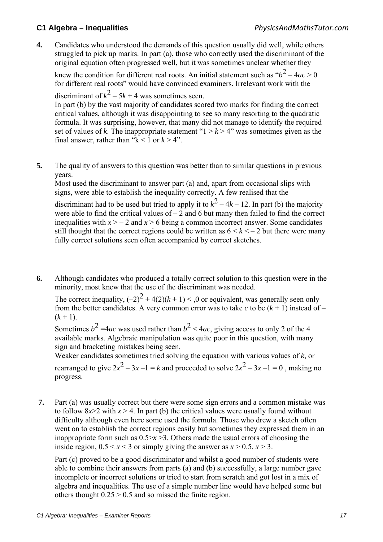**4.** Candidates who understood the demands of this question usually did well, while others struggled to pick up marks. In part (a), those who correctly used the discriminant of the original equation often progressed well, but it was sometimes unclear whether they

knew the condition for different real roots. An initial statement such as  $b^2 - 4ac > 0$ for different real roots" would have convinced examiners. Irrelevant work with the discriminant of  $k^2 - 5k + 4$  was sometimes seen.

In part (b) by the vast majority of candidates scored two marks for finding the correct critical values, although it was disappointing to see so many resorting to the quadratic formula. It was surprising, however, that many did not manage to identify the required set of values of *k*. The inappropriate statement " $1 > k > 4$ " was sometimes given as the final answer, rather than " $k < 1$  or  $k > 4$ ".

**5.** The quality of answers to this question was better than to similar questions in previous years.

Most used the discriminant to answer part (a) and, apart from occasional slips with signs, were able to establish the inequality correctly. A few realised that the

discriminant had to be used but tried to apply it to  $k^2 - 4k - 12$ . In part (b) the majority were able to find the critical values of  $-2$  and 6 but many then failed to find the correct inequalities with  $x > -2$  and  $x > 6$  being a common incorrect answer. Some candidates still thought that the correct regions could be written as  $6 \le k \le -2$  but there were many fully correct solutions seen often accompanied by correct sketches.

**6.** Although candidates who produced a totally correct solution to this question were in the minority, most knew that the use of the discriminant was needed.

The correct inequality,  $(-2)^2 + 4(2)(k+1) < 0$  or equivalent, was generally seen only from the better candidates. A very common error was to take  $c$  to be  $(k + 1)$  instead of –  $(k+1)$ .

Sometimes  $b^2 = 4ac$  was used rather than  $b^2 < 4ac$ , giving access to only 2 of the 4 available marks. Algebraic manipulation was quite poor in this question, with many sign and bracketing mistakes being seen.

Weaker candidates sometimes tried solving the equation with various values of *k*, or rearranged to give  $2x^2 - 3x - 1 = k$  and proceeded to solve  $2x^2 - 3x - 1 = 0$ , making no progress.

 **7.** Part (a) was usually correct but there were some sign errors and a common mistake was to follow  $8x > 2$  with  $x > 4$ . In part (b) the critical values were usually found without difficulty although even here some used the formula. Those who drew a sketch often went on to establish the correct regions easily but sometimes they expressed them in an inappropriate form such as  $0.5 \ge x \ge 3$ . Others made the usual errors of choosing the inside region,  $0.5 \le x \le 3$  or simply giving the answer as  $x > 0.5$ ,  $x > 3$ .

 Part (c) proved to be a good discriminator and whilst a good number of students were able to combine their answers from parts (a) and (b) successfully, a large number gave incomplete or incorrect solutions or tried to start from scratch and got lost in a mix of algebra and inequalities. The use of a simple number line would have helped some but others thought  $0.25 > 0.5$  and so missed the finite region.